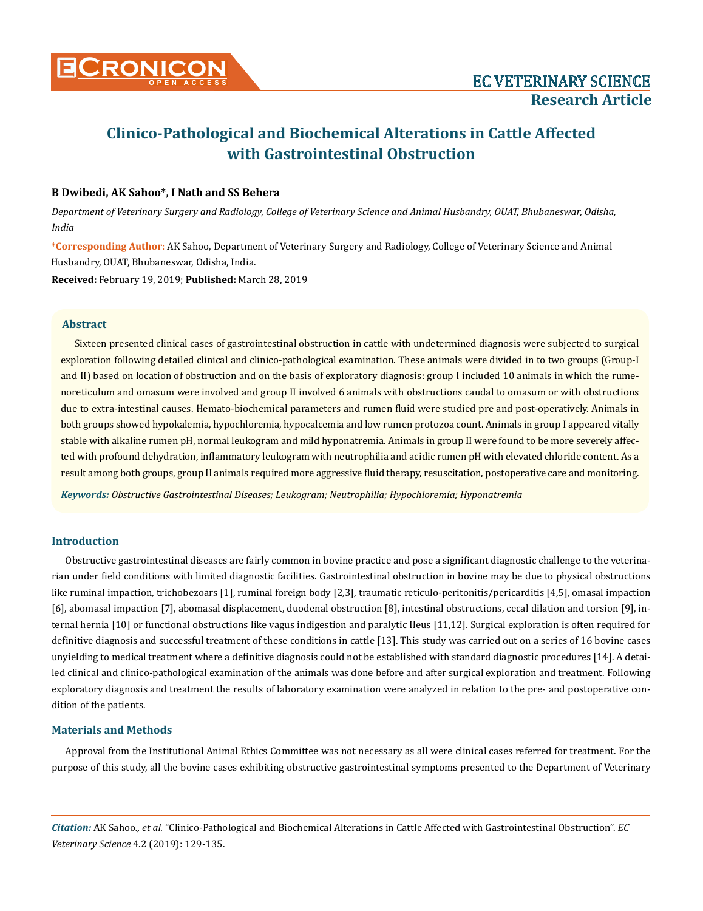

# **Clinico-Pathological and Biochemical Alterations in Cattle Affected with Gastrointestinal Obstruction**

# **B Dwibedi, AK Sahoo\*, I Nath and SS Behera**

*Department of Veterinary Surgery and Radiology, College of Veterinary Science and Animal Husbandry, OUAT, Bhubaneswar, Odisha, India*

**\*Corresponding Author**: AK Sahoo, Department of Veterinary Surgery and Radiology, College of Veterinary Science and Animal Husbandry, OUAT, Bhubaneswar, Odisha, India.

**Received:** February 19, 2019; **Published:** March 28, 2019

#### **Abstract**

Sixteen presented clinical cases of gastrointestinal obstruction in cattle with undetermined diagnosis were subjected to surgical exploration following detailed clinical and clinico-pathological examination. These animals were divided in to two groups (Group-I and II) based on location of obstruction and on the basis of exploratory diagnosis: group I included 10 animals in which the rumenoreticulum and omasum were involved and group II involved 6 animals with obstructions caudal to omasum or with obstructions due to extra-intestinal causes. Hemato-biochemical parameters and rumen fluid were studied pre and post-operatively. Animals in both groups showed hypokalemia, hypochloremia, hypocalcemia and low rumen protozoa count. Animals in group I appeared vitally stable with alkaline rumen pH, normal leukogram and mild hyponatremia. Animals in group II were found to be more severely affected with profound dehydration, inflammatory leukogram with neutrophilia and acidic rumen pH with elevated chloride content. As a result among both groups, group II animals required more aggressive fluid therapy, resuscitation, postoperative care and monitoring.

*Keywords: Obstructive Gastrointestinal Diseases; Leukogram; Neutrophilia; Hypochloremia; Hyponatremia*

# **Introduction**

Obstructive gastrointestinal diseases are fairly common in bovine practice and pose a significant diagnostic challenge to the veterinarian under field conditions with limited diagnostic facilities. Gastrointestinal obstruction in bovine may be due to physical obstructions like ruminal impaction, trichobezoars [1], ruminal foreign body [2,3], traumatic reticulo-peritonitis/pericarditis [4,5], omasal impaction [6], abomasal impaction [7], abomasal displacement, duodenal obstruction [8], intestinal obstructions, cecal dilation and torsion [9], internal hernia [10] or functional obstructions like vagus indigestion and paralytic Ileus [11,12]*.* Surgical exploration is often required for definitive diagnosis and successful treatment of these conditions in cattle [13]. This study was carried out on a series of 16 bovine cases unyielding to medical treatment where a definitive diagnosis could not be established with standard diagnostic procedures [14]. A detailed clinical and clinico-pathological examination of the animals was done before and after surgical exploration and treatment. Following exploratory diagnosis and treatment the results of laboratory examination were analyzed in relation to the pre- and postoperative condition of the patients.

# **Materials and Methods**

Approval from the Institutional Animal Ethics Committee was not necessary as all were clinical cases referred for treatment. For the purpose of this study, all the bovine cases exhibiting obstructive gastrointestinal symptoms presented to the Department of Veterinary

*Citation:* AK Sahoo*., et al.* "Clinico-Pathological and Biochemical Alterations in Cattle Affected with Gastrointestinal Obstruction". *EC Veterinary Science* 4.2 (2019): 129-135.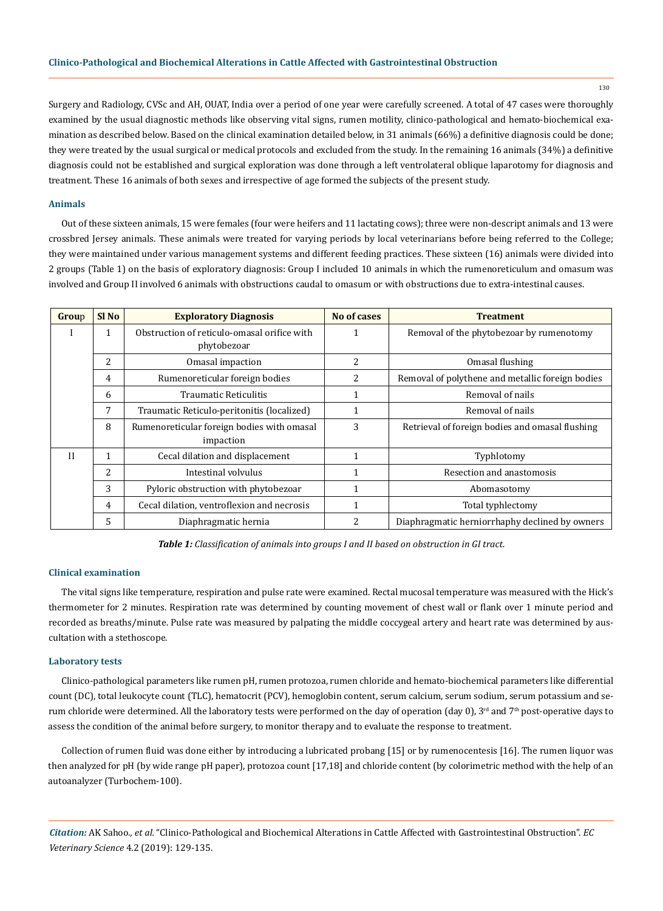Surgery and Radiology, CVSc and AH, OUAT, India over a period of one year were carefully screened. A total of 47 cases were thoroughly examined by the usual diagnostic methods like observing vital signs, rumen motility, clinico-pathological and hemato-biochemical examination as described below. Based on the clinical examination detailed below, in 31 animals (66%) a definitive diagnosis could be done; they were treated by the usual surgical or medical protocols and excluded from the study. In the remaining 16 animals (34%) a definitive diagnosis could not be established and surgical exploration was done through a left ventrolateral oblique laparotomy for diagnosis and treatment. These 16 animals of both sexes and irrespective of age formed the subjects of the present study.

#### **Animals**

Out of these sixteen animals, 15 were females (four were heifers and 11 lactating cows); three were non-descript animals and 13 were crossbred Jersey animals. These animals were treated for varying periods by local veterinarians before being referred to the College; they were maintained under various management systems and different feeding practices. These sixteen (16) animals were divided into 2 groups (Table 1) on the basis of exploratory diagnosis: Group I included 10 animals in which the rumenoreticulum and omasum was involved and Group II involved 6 animals with obstructions caudal to omasum or with obstructions due to extra-intestinal causes.

| Group        | Sl <sub>No</sub> | <b>Exploratory Diagnosis</b>                               | <b>No of cases</b> | <b>Treatment</b>                                 |  |
|--------------|------------------|------------------------------------------------------------|--------------------|--------------------------------------------------|--|
|              |                  | Obstruction of reticulo-omasal orifice with<br>phytobezoar |                    | Removal of the phytobezoar by rumenotomy         |  |
|              | $\overline{c}$   | Omasal impaction                                           | 2                  | Omasal flushing                                  |  |
|              | 4                | Rumenoreticular foreign bodies                             | 2                  | Removal of polythene and metallic foreign bodies |  |
|              | 6                | <b>Traumatic Reticulitis</b>                               |                    | Removal of nails                                 |  |
|              | 7                | Traumatic Reticulo-peritonitis (localized)                 |                    | Removal of nails                                 |  |
|              | 8                | Rumenoreticular foreign bodies with omasal<br>impaction    | 3                  | Retrieval of foreign bodies and omasal flushing  |  |
| $\mathbf{H}$ |                  | Cecal dilation and displacement                            | 1                  | Typhlotomy                                       |  |
|              | 2                | Intestinal volvulus                                        |                    | Resection and anastomosis                        |  |
|              | 3                | Pyloric obstruction with phytobezoar                       |                    | Abomasotomy                                      |  |
|              | 4                | Cecal dilation, ventroflexion and necrosis                 | 1                  | Total typhlectomy                                |  |
|              | 5                | Diaphragmatic hernia                                       |                    | Diaphragmatic herniorrhaphy declined by owners   |  |

*Table 1: Classification of animals into groups I and II based on obstruction in GI tract.*

#### **Clinical examination**

The vital signs like temperature, respiration and pulse rate were examined. Rectal mucosal temperature was measured with the Hick's thermometer for 2 minutes. Respiration rate was determined by counting movement of chest wall or flank over 1 minute period and recorded as breaths/minute. Pulse rate was measured by palpating the middle coccygeal artery and heart rate was determined by auscultation with a stethoscope.

#### **Laboratory tests**

Clinico-pathological parameters like rumen pH, rumen protozoa, rumen chloride and hemato-biochemical parameters like differential count (DC), total leukocyte count (TLC), hematocrit (PCV), hemoglobin content, serum calcium, serum sodium, serum potassium and serum chloride were determined. All the laboratory tests were performed on the day of operation (day 0), 3<sup>rd</sup> and 7<sup>th</sup> post-operative days to assess the condition of the animal before surgery, to monitor therapy and to evaluate the response to treatment.

Collection of rumen fluid was done either by introducing a lubricated probang [15] or by rumenocentesis [16]. The rumen liquor was then analyzed for pH (by wide range pH paper), protozoa count [17,18] and chloride content (by colorimetric method with the help of an autoanalyzer (Turbochem-100).

*Citation:* AK Sahoo*., et al.* "Clinico-Pathological and Biochemical Alterations in Cattle Affected with Gastrointestinal Obstruction". *EC Veterinary Science* 4.2 (2019): 129-135.

130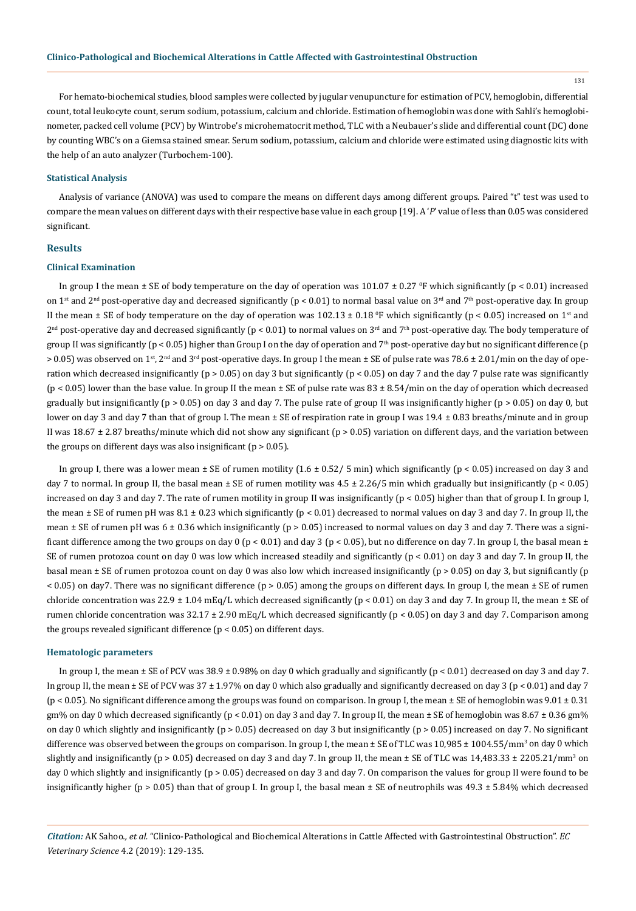131

For hemato-biochemical studies, blood samples were collected by jugular venupuncture for estimation of PCV, hemoglobin, differential count, total leukocyte count, serum sodium, potassium, calcium and chloride. Estimation of hemoglobin was done with Sahli's hemoglobinometer, packed cell volume (PCV) by Wintrobe's microhematocrit method, TLC with a Neubauer's slide and differential count (DC) done by counting WBC's on a Giemsa stained smear. Serum sodium, potassium, calcium and chloride were estimated using diagnostic kits with the help of an auto analyzer (Turbochem-100).

## **Statistical Analysis**

Analysis of variance (ANOVA) was used to compare the means on different days among different groups. Paired "t" test was used to compare the mean values on different days with their respective base value in each group [19]. A '*P*' value of less than 0.05 was considered significant.

#### **Results**

## **Clinical Examination**

In group I the mean  $\pm$  SE of body temperature on the day of operation was 101.07  $\pm$  0.27 <sup>o</sup>F which significantly (p < 0.01) increased on 1<sup>st</sup> and 2<sup>nd</sup> post-operative day and decreased significantly (p < 0.01) to normal basal value on 3<sup>rd</sup> and 7<sup>th</sup> post-operative day. In group II the mean  $\pm$  SE of body temperature on the day of operation was 102.13  $\pm$  0.18 °F which significantly (p < 0.05) increased on 1st and  $2^{nd}$  post-operative day and decreased significantly (p < 0.01) to normal values on  $3^{rd}$  and  $7^{th}$  post-operative day. The body temperature of group II was significantly ( $p < 0.05$ ) higher than Group I on the day of operation and  $7<sup>th</sup>$  post-operative day but no significant difference ( $p$  $> 0.05$ ) was observed on 1<sup>st</sup>, 2<sup>nd</sup> and 3<sup>rd</sup> post-operative days. In group I the mean  $\pm$  SE of pulse rate was 78.6  $\pm$  2.01/min on the day of operation which decreased insignificantly ( $p > 0.05$ ) on day 3 but significantly ( $p < 0.05$ ) on day 7 and the day 7 pulse rate was significantly (p < 0.05) lower than the base value. In group II the mean ± SE of pulse rate was 83 ± 8.54/min on the day of operation which decreased gradually but insignificantly ( $p > 0.05$ ) on day 3 and day 7. The pulse rate of group II was insignificantly higher ( $p > 0.05$ ) on day 0, but lower on day 3 and day 7 than that of group I. The mean ± SE of respiration rate in group I was 19.4 ± 0.83 breaths/minute and in group II was 18.67 ± 2.87 breaths/minute which did not show any significant (p > 0.05) variation on different days, and the variation between the groups on different days was also insignificant ( $p > 0.05$ ).

In group I, there was a lower mean  $\pm$  SE of rumen motility (1.6  $\pm$  0.52/ 5 min) which significantly (p < 0.05) increased on day 3 and day 7 to normal. In group II, the basal mean  $\pm$  SE of rumen motility was  $4.5 \pm 2.26/5$  min which gradually but insignificantly (p < 0.05) increased on day 3 and day 7. The rate of rumen motility in group II was insignificantly (p < 0.05) higher than that of group I. In group I, the mean  $\pm$  SE of rumen pH was 8.1  $\pm$  0.23 which significantly (p < 0.01) decreased to normal values on day 3 and day 7. In group II, the mean  $\pm$  SE of rumen pH was 6  $\pm$  0.36 which insignificantly (p > 0.05) increased to normal values on day 3 and day 7. There was a significant difference among the two groups on day 0 ( $p < 0.01$ ) and day 3 ( $p < 0.05$ ), but no difference on day 7. In group I, the basal mean  $\pm$ SE of rumen protozoa count on day 0 was low which increased steadily and significantly (p < 0.01) on day 3 and day 7. In group II, the basal mean ± SE of rumen protozoa count on day 0 was also low which increased insignificantly (p > 0.05) on day 3, but significantly (p < 0.05) on day7. There was no significant difference (p > 0.05) among the groups on different days. In group I, the mean ± SE of rumen chloride concentration was  $22.9 \pm 1.04 \text{ mEq/L}$  which decreased significantly (p < 0.01) on day 3 and day 7. In group II, the mean  $\pm$  SE of rumen chloride concentration was  $32.17 \pm 2.90$  mEq/L which decreased significantly (p < 0.05) on day 3 and day 7. Comparison among the groups revealed significant difference (p < 0.05) on different days.

#### **Hematologic parameters**

In group I, the mean  $\pm$  SE of PCV was 38.9  $\pm$  0.98% on day 0 which gradually and significantly (p < 0.01) decreased on day 3 and day 7. In group II, the mean  $\pm$  SE of PCV was 37  $\pm$  1.97% on day 0 which also gradually and significantly decreased on day 3 (p < 0.01) and day 7  $(p < 0.05)$ . No significant difference among the groups was found on comparison. In group I, the mean  $\pm$  SE of hemoglobin was  $9.01 \pm 0.31$ gm% on day 0 which decreased significantly ( $p < 0.01$ ) on day 3 and day 7. In group II, the mean  $\pm$  SE of hemoglobin was  $8.67 \pm 0.36$  gm% on day 0 which slightly and insignificantly  $(p > 0.05)$  decreased on day 3 but insignificantly  $(p > 0.05)$  increased on day 7. No significant difference was observed between the groups on comparison. In group I, the mean ± SE of TLC was  $10,985\pm1004.55/\mathrm{mm^3}$  on day  $0$  which slightly and insignificantly (p > 0.05) decreased on day 3 and day 7. In group II, the mean ± SE of TLC was 14,483.33 ± 2205.21/mm<sup>3</sup> on day 0 which slightly and insignificantly (p > 0.05) decreased on day 3 and day 7. On comparison the values for group II were found to be insignificantly higher (p > 0.05) than that of group I. In group I, the basal mean  $\pm$  SE of neutrophils was 49.3  $\pm$  5.84% which decreased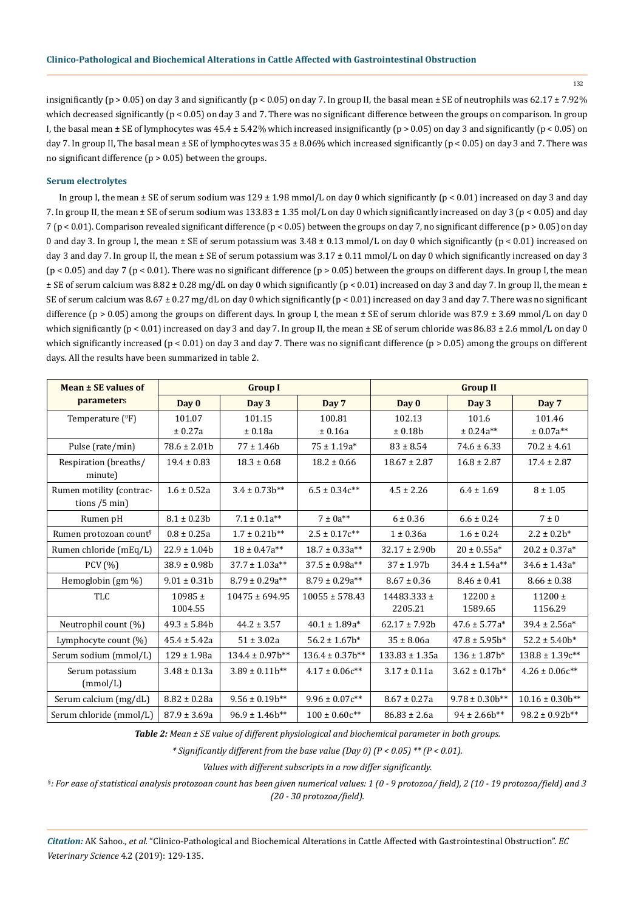132

insignificantly (p > 0.05) on day 3 and significantly (p < 0.05) on day 7. In group II, the basal mean  $\pm$  SE of neutrophils was 62.17  $\pm$  7.92% which decreased significantly ( $p < 0.05$ ) on day 3 and 7. There was no significant difference between the groups on comparison. In group I, the basal mean  $\pm$  SE of lymphocytes was 45.4  $\pm$  5.42% which increased insignificantly (p > 0.05) on day 3 and significantly (p < 0.05) on day 7. In group II, The basal mean ± SE of lymphocytes was 35 ± 8.06% which increased significantly (p < 0.05) on day 3 and 7. There was no significant difference ( $p > 0.05$ ) between the groups.

## **Serum electrolytes**

In group I, the mean  $\pm$  SE of serum sodium was 129  $\pm$  1.98 mmol/L on day 0 which significantly (p < 0.01) increased on day 3 and day 7. In group II, the mean ± SE of serum sodium was 133.83 ± 1.35 mol/L on day 0 which significantly increased on day 3 (p < 0.05) and day 7 (p < 0.01). Comparison revealed significant difference (p < 0.05) between the groups on day 7, no significant difference (p > 0.05) on day 0 and day 3. In group I, the mean  $\pm$  SE of serum potassium was 3.48  $\pm$  0.13 mmol/L on day 0 which significantly (p < 0.01) increased on day 3 and day 7. In group II, the mean  $\pm$  SE of serum potassium was 3.17  $\pm$  0.11 mmol/L on day 0 which significantly increased on day 3  $(p < 0.05)$  and day 7 (p < 0.01). There was no significant difference (p > 0.05) between the groups on different days. In group I, the mean  $\pm$  SE of serum calcium was 8.82  $\pm$  0.28 mg/dL on day 0 which significantly (p < 0.01) increased on day 3 and day 7. In group II, the mean  $\pm$ SE of serum calcium was  $8.67 \pm 0.27$  mg/dL on day 0 which significantly (p < 0.01) increased on day 3 and day 7. There was no significant difference ( $p > 0.05$ ) among the groups on different days. In group I, the mean  $\pm$  SE of serum chloride was 87.9  $\pm$  3.69 mmol/L on day 0 which significantly ( $p < 0.01$ ) increased on day 3 and day 7. In group II, the mean  $\pm$  SE of serum chloride was 86.83  $\pm$  2.6 mmol/L on day 0 which significantly increased ( $p < 0.01$ ) on day 3 and day 7. There was no significant difference ( $p > 0.05$ ) among the groups on different days. All the results have been summarized in table 2.

| Mean ± SE values of                         | <b>Group I</b>   |                       |                       | <b>Group II</b>    |                       |                       |
|---------------------------------------------|------------------|-----------------------|-----------------------|--------------------|-----------------------|-----------------------|
| parameters                                  | Day 0            | Day 3                 | Day 7                 | Day 0              | Day 3                 | Day 7                 |
| Temperature $(^0F)$                         | 101.07           | 101.15                | 100.81                | 102.13             | 101.6                 | 101.46                |
|                                             | ± 0.27a          | ± 0.18a               | ± 0.16a               | ± 0.18b            | $± 0.24a**$           | $± 0.07a**$           |
| Pulse (rate/min)                            | $78.6 \pm 2.01b$ | $77 \pm 1.46b$        | $75 \pm 1.19a*$       | $83 \pm 8.54$      | $74.6 \pm 6.33$       | $70.2 \pm 4.61$       |
| Respiration (breaths/<br>minute)            | $19.4 \pm 0.83$  | $18.3 \pm 0.68$       | $18.2 \pm 0.66$       | $18.67 \pm 2.87$   | $16.8 \pm 2.87$       | $17.4 \pm 2.87$       |
| Rumen motility (contrac-<br>tions $/5$ min) | $1.6 \pm 0.52a$  | $3.4 \pm 0.73b^{**}$  | $6.5 \pm 0.34c^{**}$  | $4.5 \pm 2.26$     | $6.4 \pm 1.69$        | $8 \pm 1.05$          |
| Rumen pH                                    | $8.1 \pm 0.23b$  | $7.1 \pm 0.1a^{**}$   | $7 \pm 0a^{**}$       | $6 \pm 0.36$       | $6.6 \pm 0.24$        | $7 \pm 0$             |
| Rumen protozoan count <sup>§</sup>          | $0.8 \pm 0.25a$  | $1.7 \pm 0.21$ b**    | $2.5 \pm 0.17c^{**}$  | $1 \pm 0.36a$      | $1.6 \pm 0.24$        | $2.2 \pm 0.2b^*$      |
| Rumen chloride (mEq/L)                      | $22.9 \pm 1.04b$ | $18 \pm 0.47a^{**}$   | $18.7 \pm 0.33a^{**}$ | $32.17 \pm 2.90b$  | $20 \pm 0.55a*$       | $20.2 \pm 0.37a*$     |
| PCV (%)                                     | $38.9 \pm 0.98$  | $37.7 \pm 1.03a^{**}$ | $37.5 \pm 0.98a^{**}$ | $37 \pm 1.97$ b    | $34.4 \pm 1.54a^{**}$ | $34.6 \pm 1.43a*$     |
| Hemoglobin (gm %)                           | $9.01 \pm 0.31$  | $8.79 \pm 0.29a^{**}$ | $8.79 \pm 0.29a^{**}$ | $8.67 \pm 0.36$    | $8.46 \pm 0.41$       | $8.66 \pm 0.38$       |
| <b>TLC</b>                                  | $10985 \pm$      | $10475 \pm 694.95$    | $10055 \pm 578.43$    | $14483.333 \pm$    | $12200 \pm$           | $11200 \pm$           |
|                                             | 1004.55          |                       |                       | 2205.21            | 1589.65               | 1156.29               |
| Neutrophil count (%)                        | $49.3 \pm 5.84b$ | $44.2 \pm 3.57$       | $40.1 \pm 1.89a*$     | $62.17 \pm 7.92b$  | $47.6 \pm 5.77a*$     | $39.4 \pm 2.56a*$     |
| Lymphocyte count (%)                        | $45.4 \pm 5.42a$ | $51 \pm 3.02a$        | $56.2 \pm 1.67$ b*    | $35 \pm 8.06a$     | $47.8 \pm 5.95$ b*    | $52.2 \pm 5.40$ b*    |
| Serum sodium (mmol/L)                       | $129 \pm 1.98a$  | $134.4 \pm 0.97$ b**  | $136.4 \pm 0.37$ b**  | $133.83 \pm 1.35a$ | $136 \pm 1.87$ b*     | $138.8 \pm 1.39c**$   |
| Serum potassium<br>(mmol/L)                 | $3.48 \pm 0.13a$ | $3.89 \pm 0.11b^{**}$ | $4.17 \pm 0.06c^{**}$ | $3.17 \pm 0.11a$   | $3.62 \pm 0.17$ b*    | $4.26 \pm 0.06c^{**}$ |
| Serum calcium (mg/dL)                       | $8.82 \pm 0.28a$ | $9.56 \pm 0.19$ b**   | $9.96 \pm 0.07c^{**}$ | $8.67 \pm 0.27a$   | $9.78 \pm 0.30$ b**   | $10.16 \pm 0.30$ b**  |
| Serum chloride (mmol/L)                     | $87.9 \pm 3.69a$ | $96.9 \pm 1.46b^{**}$ | $100 \pm 0.60c^{**}$  | $86.83 \pm 2.6a$   | $94 \pm 2.66b^{**}$   | $98.2 \pm 0.92b^{**}$ |

*Table 2: Mean ± SE value of different physiological and biochemical parameter in both groups.* 

*\* Significantly different from the base value (Day 0) (P < 0.05) \*\* (P < 0.01).*

*Values with different subscripts in a row differ significantly.* 

§ *: For ease of statistical analysis protozoan count has been given numerical values: 1 (0 - 9 protozoa/ field), 2 (10 - 19 protozoa/field) and 3 (20 - 30 protozoa/field).*

*Citation:* AK Sahoo*., et al.* "Clinico-Pathological and Biochemical Alterations in Cattle Affected with Gastrointestinal Obstruction". *EC Veterinary Science* 4.2 (2019): 129-135.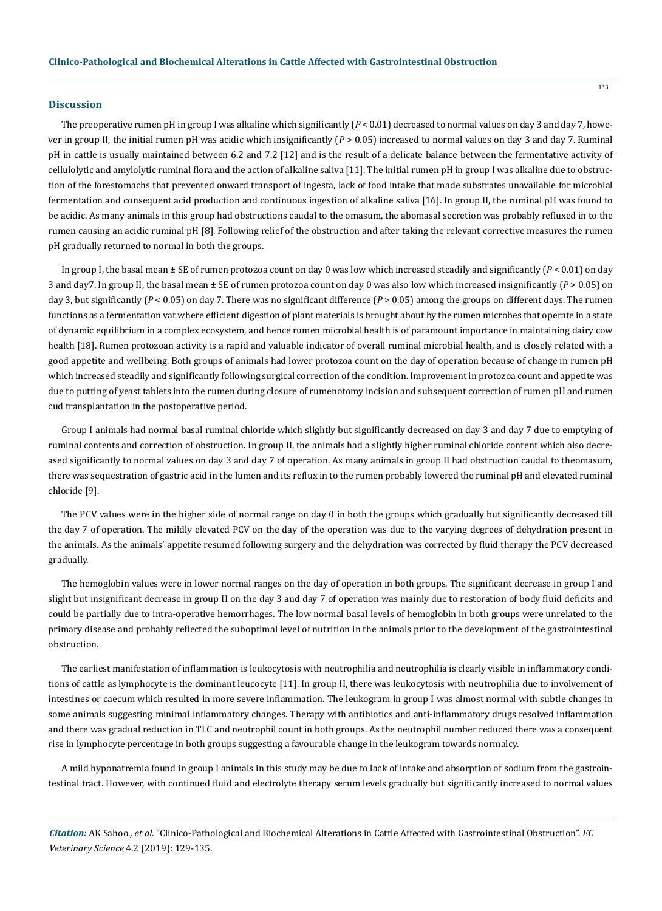#### **Discussion**

The preoperative rumen pH in group I was alkaline which significantly  $(P < 0.01)$  decreased to normal values on day 3 and day 7, however in group II, the initial rumen pH was acidic which insignificantly (*P* > 0.05) increased to normal values on day 3 and day 7. Ruminal pH in cattle is usually maintained between 6.2 and 7.2 [12] and is the result of a delicate balance between the fermentative activity of cellulolytic and amylolytic ruminal flora and the action of alkaline saliva [11]. The initial rumen pH in group I was alkaline due to obstruction of the forestomachs that prevented onward transport of ingesta, lack of food intake that made substrates unavailable for microbial fermentation and consequent acid production and continuous ingestion of alkaline saliva [16]. In group II, the ruminal pH was found to be acidic. As many animals in this group had obstructions caudal to the omasum, the abomasal secretion was probably refluxed in to the rumen causing an acidic ruminal pH [8]. Following relief of the obstruction and after taking the relevant corrective measures the rumen pH gradually returned to normal in both the groups.

In group I, the basal mean  $\pm$  SE of rumen protozoa count on day 0 was low which increased steadily and significantly  $(P < 0.01)$  on day 3 and day7. In group II, the basal mean ± SE of rumen protozoa count on day 0 was also low which increased insignificantly (*P* > 0.05) on day 3, but significantly (*P* < 0.05) on day 7. There was no significant difference (*P* > 0.05) among the groups on different days. The rumen functions as a fermentation vat where efficient digestion of plant materials is brought about by the rumen microbes that operate in a state of dynamic equilibrium in a complex ecosystem, and hence rumen microbial health is of paramount importance in maintaining dairy cow health [18]. Rumen protozoan activity is a rapid and valuable indicator of overall ruminal microbial health, and is closely related with a good appetite and wellbeing. Both groups of animals had lower protozoa count on the day of operation because of change in rumen pH which increased steadily and significantly following surgical correction of the condition. Improvement in protozoa count and appetite was due to putting of yeast tablets into the rumen during closure of rumenotomy incision and subsequent correction of rumen pH and rumen cud transplantation in the postoperative period.

Group I animals had normal basal ruminal chloride which slightly but significantly decreased on day 3 and day 7 due to emptying of ruminal contents and correction of obstruction. In group II, the animals had a slightly higher ruminal chloride content which also decreased significantly to normal values on day 3 and day 7 of operation. As many animals in group II had obstruction caudal to theomasum, there was sequestration of gastric acid in the lumen and its reflux in to the rumen probably lowered the ruminal pH and elevated ruminal chloride [9].

The PCV values were in the higher side of normal range on day 0 in both the groups which gradually but significantly decreased till the day 7 of operation. The mildly elevated PCV on the day of the operation was due to the varying degrees of dehydration present in the animals. As the animals' appetite resumed following surgery and the dehydration was corrected by fluid therapy the PCV decreased gradually.

The hemoglobin values were in lower normal ranges on the day of operation in both groups. The significant decrease in group I and slight but insignificant decrease in group II on the day 3 and day 7 of operation was mainly due to restoration of body fluid deficits and could be partially due to intra-operative hemorrhages. The low normal basal levels of hemoglobin in both groups were unrelated to the primary disease and probably reflected the suboptimal level of nutrition in the animals prior to the development of the gastrointestinal obstruction.

The earliest manifestation of inflammation is leukocytosis with neutrophilia and neutrophilia is clearly visible in inflammatory conditions of cattle as lymphocyte is the dominant leucocyte [11]. In group II, there was leukocytosis with neutrophilia due to involvement of intestines or caecum which resulted in more severe inflammation. The leukogram in group I was almost normal with subtle changes in some animals suggesting minimal inflammatory changes. Therapy with antibiotics and anti-inflammatory drugs resolved inflammation and there was gradual reduction in TLC and neutrophil count in both groups. As the neutrophil number reduced there was a consequent rise in lymphocyte percentage in both groups suggesting a favourable change in the leukogram towards normalcy.

A mild hyponatremia found in group I animals in this study may be due to lack of intake and absorption of sodium from the gastrointestinal tract. However, with continued fluid and electrolyte therapy serum levels gradually but significantly increased to normal values

*Citation:* AK Sahoo*., et al.* "Clinico-Pathological and Biochemical Alterations in Cattle Affected with Gastrointestinal Obstruction". *EC Veterinary Science* 4.2 (2019): 129-135.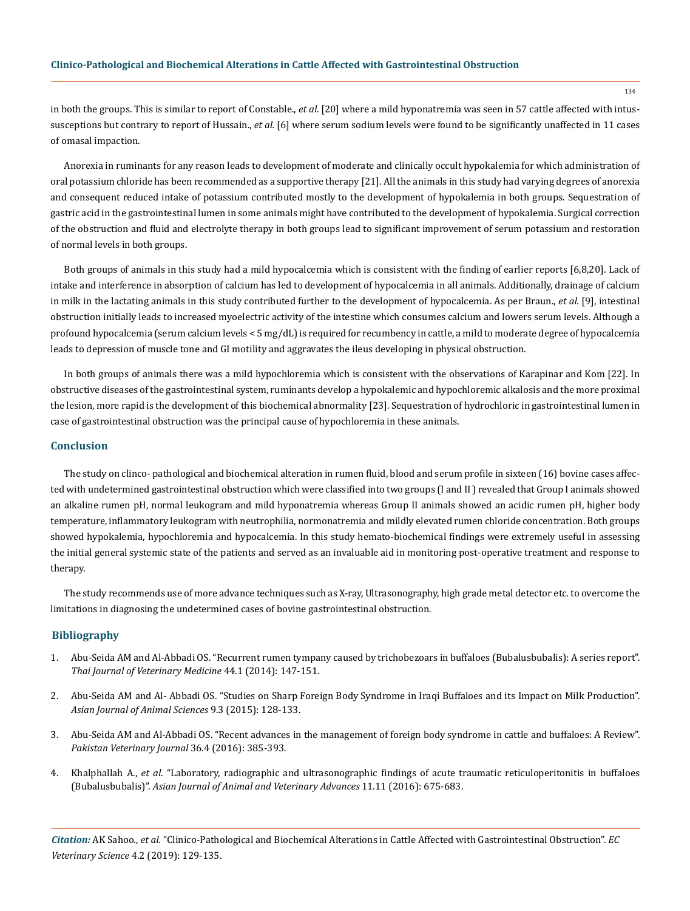in both the groups. This is similar to report of Constable., *et al.* [20] where a mild hyponatremia was seen in 57 cattle affected with intussusceptions but contrary to report of Hussain., *et al.* [6] where serum sodium levels were found to be significantly unaffected in 11 cases of omasal impaction.

Anorexia in ruminants for any reason leads to development of moderate and clinically occult hypokalemia for which administration of oral potassium chloride has been recommended as a supportive therapy [21]. All the animals in this study had varying degrees of anorexia and consequent reduced intake of potassium contributed mostly to the development of hypokalemia in both groups. Sequestration of gastric acid in the gastrointestinal lumen in some animals might have contributed to the development of hypokalemia. Surgical correction of the obstruction and fluid and electrolyte therapy in both groups lead to significant improvement of serum potassium and restoration of normal levels in both groups.

Both groups of animals in this study had a mild hypocalcemia which is consistent with the finding of earlier reports [6,8,20]. Lack of intake and interference in absorption of calcium has led to development of hypocalcemia in all animals. Additionally, drainage of calcium in milk in the lactating animals in this study contributed further to the development of hypocalcemia. As per Braun., *et al.* [9], intestinal obstruction initially leads to increased myoelectric activity of the intestine which consumes calcium and lowers serum levels. Although a profound hypocalcemia (serum calcium levels < 5 mg/dL) is required for recumbency in cattle, a mild to moderate degree of hypocalcemia leads to depression of muscle tone and GI motility and aggravates the ileus developing in physical obstruction.

In both groups of animals there was a mild hypochloremia which is consistent with the observations of Karapinar and Kom [22]. In obstructive diseases of the gastrointestinal system, ruminants develop a hypokalemic and hypochloremic alkalosis and the more proximal the lesion, more rapid is the development of this biochemical abnormality [23]. Sequestration of hydrochloric in gastrointestinal lumen in case of gastrointestinal obstruction was the principal cause of hypochloremia in these animals.

#### **Conclusion**

The study on clinco- pathological and biochemical alteration in rumen fluid, blood and serum profile in sixteen (16) bovine cases affected with undetermined gastrointestinal obstruction which were classified into two groups (I and II ) revealed that Group I animals showed an alkaline rumen pH, normal leukogram and mild hyponatremia whereas Group II animals showed an acidic rumen pH, higher body temperature, inflammatory leukogram with neutrophilia, normonatremia and mildly elevated rumen chloride concentration. Both groups showed hypokalemia, hypochloremia and hypocalcemia. In this study hemato-biochemical findings were extremely useful in assessing the initial general systemic state of the patients and served as an invaluable aid in monitoring post-operative treatment and response to therapy.

The study recommends use of more advance techniques such as X-ray, Ultrasonography, high grade metal detector etc. to overcome the limitations in diagnosing the undetermined cases of bovine gastrointestinal obstruction.

## **Bibliography**

- 1. [Abu-Seida AM and Al-Abbadi OS. "Recurrent rumen tympany caused by trichobezoars in buffaloes \(Bubalusbubalis\): A series report".](https://www.researchgate.net/publication/261133829_Recurrent_Rumen_Tympany_Caused_by_Trichobezoars_in_Buffaloes_Bubalus_bubalis_A_Series_Report)  *[Thai Journal of Veterinary Medicine](https://www.researchgate.net/publication/261133829_Recurrent_Rumen_Tympany_Caused_by_Trichobezoars_in_Buffaloes_Bubalus_bubalis_A_Series_Report)* 44.1 (2014): 147-151.
- 2. [Abu-Seida AM and Al- Abbadi OS. "Studies on Sharp Foreign Body Syndrome in Iraqi Buffaloes and its Impact on Milk Production".](https://www.researchgate.net/publication/276453357_Studies_on_Sharp_Foreign_Body_Syndrome_in_Iraqi_Buffaloes_and_its_Impact_on_Milk_Production)  *[Asian Journal of Animal Sciences](https://www.researchgate.net/publication/276453357_Studies_on_Sharp_Foreign_Body_Syndrome_in_Iraqi_Buffaloes_and_its_Impact_on_Milk_Production)* 9.3 (2015): 128-133.
- 3. [Abu-Seida AM and Al-Abbadi OS. "Recent advances in the management of foreign body syndrome in cattle and buffaloes: A Review".](https://www.researchgate.net/publication/309410539_Recent_Advances_in_the_Management_of_Foreign_Body_Syndrome_in_Cattle_and_Buffaloes_A_Review)  *[Pakistan Veterinary Journal](https://www.researchgate.net/publication/309410539_Recent_Advances_in_the_Management_of_Foreign_Body_Syndrome_in_Cattle_and_Buffaloes_A_Review)* 36.4 (2016): 385-393.
- 4. Khalphallah A., *et al*[. "Laboratory, radiographic and ultrasonographic findings of acute traumatic reticuloperitonitis in buffaloes](https://scialert.net/abstract/?doi=ajava.2016.675.683)  (Bubalusbubalis)". *[Asian Journal of Animal and Veterinary Advances](https://scialert.net/abstract/?doi=ajava.2016.675.683)* 11.11 (2016): 675-683.

*Citation:* AK Sahoo*., et al.* "Clinico-Pathological and Biochemical Alterations in Cattle Affected with Gastrointestinal Obstruction". *EC Veterinary Science* 4.2 (2019): 129-135.

134